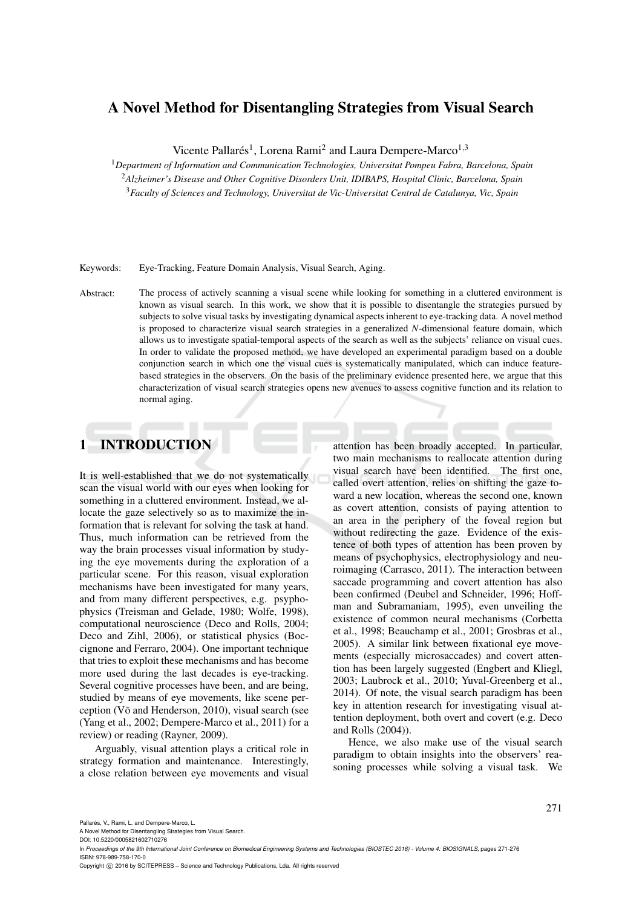# A Novel Method for Disentangling Strategies from Visual Search

Vicente Pallarés<sup>1</sup>, Lorena Rami<sup>2</sup> and Laura Dempere-Marco<sup>1,3</sup>

<sup>1</sup>*Department of Information and Communication Technologies, Universitat Pompeu Fabra, Barcelona, Spain*

<sup>2</sup>*Alzheimer's Disease and Other Cognitive Disorders Unit, IDIBAPS, Hospital Clinic, Barcelona, Spain* <sup>3</sup>*Faculty of Sciences and Technology, Universitat de Vic-Universitat Central de Catalunya, Vic, Spain*

Keywords: Eye-Tracking, Feature Domain Analysis, Visual Search, Aging.

Abstract: The process of actively scanning a visual scene while looking for something in a cluttered environment is known as visual search. In this work, we show that it is possible to disentangle the strategies pursued by subjects to solve visual tasks by investigating dynamical aspects inherent to eye-tracking data. A novel method is proposed to characterize visual search strategies in a generalized *N*-dimensional feature domain, which allows us to investigate spatial-temporal aspects of the search as well as the subjects' reliance on visual cues. In order to validate the proposed method, we have developed an experimental paradigm based on a double conjunction search in which one the visual cues is systematically manipulated, which can induce featurebased strategies in the observers. On the basis of the preliminary evidence presented here, we argue that this characterization of visual search strategies opens new avenues to assess cognitive function and its relation to normal aging.

## 1 INTRODUCTION

It is well-established that we do not systematically scan the visual world with our eyes when looking for something in a cluttered environment. Instead, we allocate the gaze selectively so as to maximize the information that is relevant for solving the task at hand. Thus, much information can be retrieved from the way the brain processes visual information by studying the eye movements during the exploration of a particular scene. For this reason, visual exploration mechanisms have been investigated for many years, and from many different perspectives, e.g. psyphophysics (Treisman and Gelade, 1980; Wolfe, 1998), computational neuroscience (Deco and Rolls, 2004; Deco and Zihl, 2006), or statistical physics (Boccignone and Ferraro, 2004). One important technique that tries to exploit these mechanisms and has become more used during the last decades is eye-tracking. Several cognitive processes have been, and are being, studied by means of eye movements, like scene perception (V $\tilde{o}$  and Henderson, 2010), visual search (see (Yang et al., 2002; Dempere-Marco et al., 2011) for a review) or reading (Rayner, 2009).

Arguably, visual attention plays a critical role in strategy formation and maintenance. Interestingly, a close relation between eye movements and visual

attention has been broadly accepted. In particular, two main mechanisms to reallocate attention during visual search have been identified. The first one, called overt attention, relies on shifting the gaze toward a new location, whereas the second one, known as covert attention, consists of paying attention to an area in the periphery of the foveal region but without redirecting the gaze. Evidence of the existence of both types of attention has been proven by means of psychophysics, electrophysiology and neuroimaging (Carrasco, 2011). The interaction between saccade programming and covert attention has also been confirmed (Deubel and Schneider, 1996; Hoffman and Subramaniam, 1995), even unveiling the existence of common neural mechanisms (Corbetta et al., 1998; Beauchamp et al., 2001; Grosbras et al., 2005). A similar link between fixational eye movements (especially microsaccades) and covert attention has been largely suggested (Engbert and Kliegl, 2003; Laubrock et al., 2010; Yuval-Greenberg et al., 2014). Of note, the visual search paradigm has been key in attention research for investigating visual attention deployment, both overt and covert (e.g. Deco and Rolls (2004)).

Hence, we also make use of the visual search paradigm to obtain insights into the observers' reasoning processes while solving a visual task. We

A Novel Method for Disentangling Strategies from Visual Search.

Copyright (C) 2016 by SCITEPRESS - Science and Technology Publications, Lda. All rights reserved

DOI: 10.5220/0005821602710276

In *Proceedings of the 9th International Joint Conference on Biomedical Engineering Systems and Technologies (BIOSTEC 2016) - Volume 4: BIOSIGNALS*, pages 271-276 ISBN: 978-989-758-170-0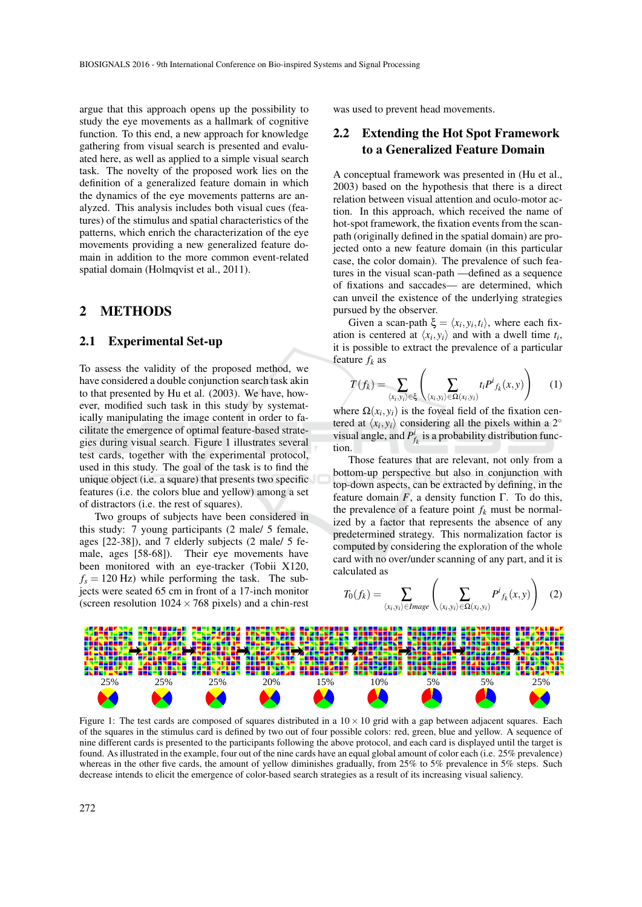argue that this approach opens up the possibility to study the eye movements as a hallmark of cognitive function. To this end, a new approach for knowledge gathering from visual search is presented and evaluated here, as well as applied to a simple visual search task. The novelty of the proposed work lies on the definition of a generalized feature domain in which the dynamics of the eye movements patterns are analyzed. This analysis includes both visual cues (features) of the stimulus and spatial characteristics of the patterns, which enrich the characterization of the eye movements providing a new generalized feature domain in addition to the more common event-related spatial domain (Holmqvist et al., 2011).

### 2 METHODS

#### 2.1 Experimental Set-up

To assess the validity of the proposed method, we have considered a double conjunction search task akin to that presented by Hu et al. (2003). We have, however, modified such task in this study by systematically manipulating the image content in order to facilitate the emergence of optimal feature-based strategies during visual search. Figure 1 illustrates several test cards, together with the experimental protocol, used in this study. The goal of the task is to find the unique object (i.e. a square) that presents two specific features (i.e. the colors blue and yellow) among a set of distractors (i.e. the rest of squares).

Two groups of subjects have been considered in this study: 7 young participants (2 male/ 5 female, ages [22-38]), and 7 elderly subjects (2 male/ 5 female, ages [58-68]). Their eye movements have been monitored with an eye-tracker (Tobii X120,  $f_s = 120$  Hz) while performing the task. The subjects were seated 65 cm in front of a 17-inch monitor (screen resolution  $1024 \times 768$  pixels) and a chin-rest

was used to prevent head movements.

## 2.2 Extending the Hot Spot Framework to a Generalized Feature Domain

A conceptual framework was presented in (Hu et al., 2003) based on the hypothesis that there is a direct relation between visual attention and oculo-motor action. In this approach, which received the name of hot-spot framework, the fixation events from the scanpath (originally defined in the spatial domain) are projected onto a new feature domain (in this particular case, the color domain). The prevalence of such features in the visual scan-path —defined as a sequence of fixations and saccades— are determined, which can unveil the existence of the underlying strategies pursued by the observer.

Given a scan-path  $\xi = \langle x_i, y_i, t_i \rangle$ , where each fixation is centered at  $\langle x_i, y_i \rangle$  and with a dwell time  $t_i$ , it is possible to extract the prevalence of a particular feature  $f_k$  as

$$
T(f_k) = \sum_{\langle x_i, y_i \rangle \in \xi} \left( \sum_{\langle x_i, y_i \rangle \in \Omega(x_i, y_i)} t_i P^i f_k(x, y) \right) \tag{1}
$$

where  $\Omega(x_i, y_i)$  is the foveal field of the fixation centered at  $\langle x_i, y_i \rangle$  considering all the pixels within a 2<sup>°</sup> visual angle, and  $P^i_{f_k}$  is a probability distribution function.

Those features that are relevant, not only from a bottom-up perspective but also in conjunction with top-down aspects, can be extracted by defining, in the feature domain  $F$ , a density function  $\Gamma$ . To do this, the prevalence of a feature point  $f_k$  must be normalized by a factor that represents the absence of any predetermined strategy. This normalization factor is computed by considering the exploration of the whole card with no over/under scanning of any part, and it is calculated as

$$
T_0(f_k) = \sum_{\langle x_i, y_i \rangle \in Image} \left( \sum_{\langle x_i, y_i \rangle \in \Omega(x_i, y_i)} P^i f_k(x, y) \right) \quad (2)
$$



Figure 1: The test cards are composed of squares distributed in a  $10 \times 10$  grid with a gap between adjacent squares. Each of the squares in the stimulus card is defined by two out of four possible colors: red, green, blue and yellow. A sequence of nine different cards is presented to the participants following the above protocol, and each card is displayed until the target is found. As illustrated in the example, four out of the nine cards have an equal global amount of color each (i.e. 25% prevalence) whereas in the other five cards, the amount of yellow diminishes gradually, from 25% to 5% prevalence in 5% steps. Such decrease intends to elicit the emergence of color-based search strategies as a result of its increasing visual saliency.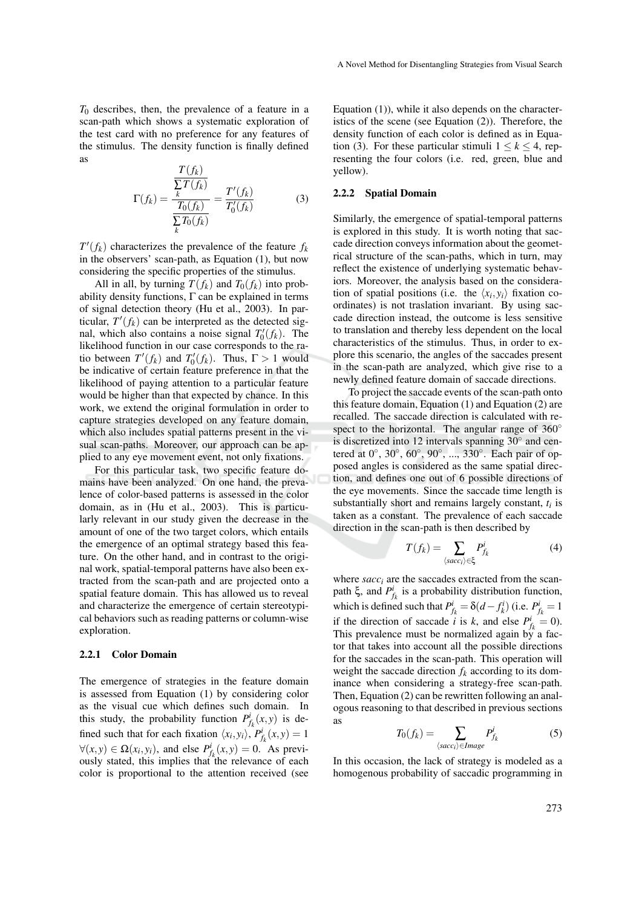*T*<sup>0</sup> describes, then, the prevalence of a feature in a scan-path which shows a systematic exploration of the test card with no preference for any features of the stimulus. The density function is finally defined as *T*(*fk*)

$$
\Gamma(f_k) = \frac{\frac{T(f_k)}{\sum T(f_k)}}{\frac{T_0(f_k)}{\sum_k T_0(f_k)}} = \frac{T'(f_k)}{T'_0(f_k)}
$$
(3)

 $T'(f_k)$  characterizes the prevalence of the feature  $f_k$ in the observers' scan-path, as Equation (1), but now considering the specific properties of the stimulus.

All in all, by turning  $T(f_k)$  and  $T_0(f_k)$  into probability density functions,  $\Gamma$  can be explained in terms of signal detection theory (Hu et al., 2003). In particular,  $T'(f_k)$  can be interpreted as the detected signal, which also contains a noise signal  $T'_0(f_k)$ . The likelihood function in our case corresponds to the ratio between  $T'(f_k)$  and  $T'_0(f_k)$ . Thus,  $\Gamma > 1$  would be indicative of certain feature preference in that the likelihood of paying attention to a particular feature would be higher than that expected by chance. In this work, we extend the original formulation in order to capture strategies developed on any feature domain, which also includes spatial patterns present in the visual scan-paths. Moreover, our approach can be applied to any eye movement event, not only fixations.

For this particular task, two specific feature domains have been analyzed. On one hand, the prevalence of color-based patterns is assessed in the color domain, as in (Hu et al., 2003). This is particularly relevant in our study given the decrease in the amount of one of the two target colors, which entails the emergence of an optimal strategy based this feature. On the other hand, and in contrast to the original work, spatial-temporal patterns have also been extracted from the scan-path and are projected onto a spatial feature domain. This has allowed us to reveal and characterize the emergence of certain stereotypical behaviors such as reading patterns or column-wise exploration.

#### 2.2.1 Color Domain

The emergence of strategies in the feature domain is assessed from Equation (1) by considering color as the visual cue which defines such domain. In this study, the probability function  $P_{f_k}^i(x, y)$  is defined such that for each fixation  $\langle x_i, y_i \rangle$ ,  $P^i_{f_k}(x, y) = 1$  $\forall (x, y) \in \Omega(x_i, y_i)$ , and else  $P^i_{f_k}(x, y) = 0$ . As previously stated, this implies that the relevance of each color is proportional to the attention received (see

Equation (1)), while it also depends on the characteristics of the scene (see Equation (2)). Therefore, the density function of each color is defined as in Equation (3). For these particular stimuli  $1 \leq k \leq 4$ , representing the four colors (i.e. red, green, blue and yellow).

#### 2.2.2 Spatial Domain

Similarly, the emergence of spatial-temporal patterns is explored in this study. It is worth noting that saccade direction conveys information about the geometrical structure of the scan-paths, which in turn, may reflect the existence of underlying systematic behaviors. Moreover, the analysis based on the consideration of spatial positions (i.e. the  $\langle x_i, y_i \rangle$  fixation coordinates) is not traslation invariant. By using saccade direction instead, the outcome is less sensitive to translation and thereby less dependent on the local characteristics of the stimulus. Thus, in order to explore this scenario, the angles of the saccades present in the scan-path are analyzed, which give rise to a newly defined feature domain of saccade directions.

To project the saccade events of the scan-path onto this feature domain, Equation (1) and Equation (2) are recalled. The saccade direction is calculated with respect to the horizontal. The angular range of  $360^\circ$ is discretized into 12 intervals spanning  $30^\circ$  and centered at  $0^\circ$ ,  $30^\circ$ ,  $60^\circ$ ,  $90^\circ$ , ...,  $330^\circ$ . Each pair of opposed angles is considered as the same spatial direction, and defines one out of 6 possible directions of the eye movements. Since the saccade time length is substantially short and remains largely constant, *t<sup>i</sup>* is taken as a constant. The prevalence of each saccade direction in the scan-path is then described by

$$
T(f_k) = \sum_{\langle sacc_i \rangle \in \xi} P^i_{f_k}
$$
 (4)

where  $sacc_i$  are the saccades extracted from the scanpath  $\xi$ , and  $P_{f_k}^i$  is a probability distribution function, which is defined such that  $P_{f_k}^i = \delta(d - f_k^i)$  (i.e.  $P_{f_k}^i = 1$ if the direction of saccade *i* is *k*, and else  $P^i_{f_k} = 0$ . This prevalence must be normalized again by a factor that takes into account all the possible directions for the saccades in the scan-path. This operation will weight the saccade direction  $f_k$  according to its dominance when considering a strategy-free scan-path. Then, Equation (2) can be rewritten following an analogous reasoning to that described in previous sections as

$$
T_0(f_k) = \sum_{\langle sacci \rangle \in Image} P^i_{f_k}
$$
 (5)

In this occasion, the lack of strategy is modeled as a homogenous probability of saccadic programming in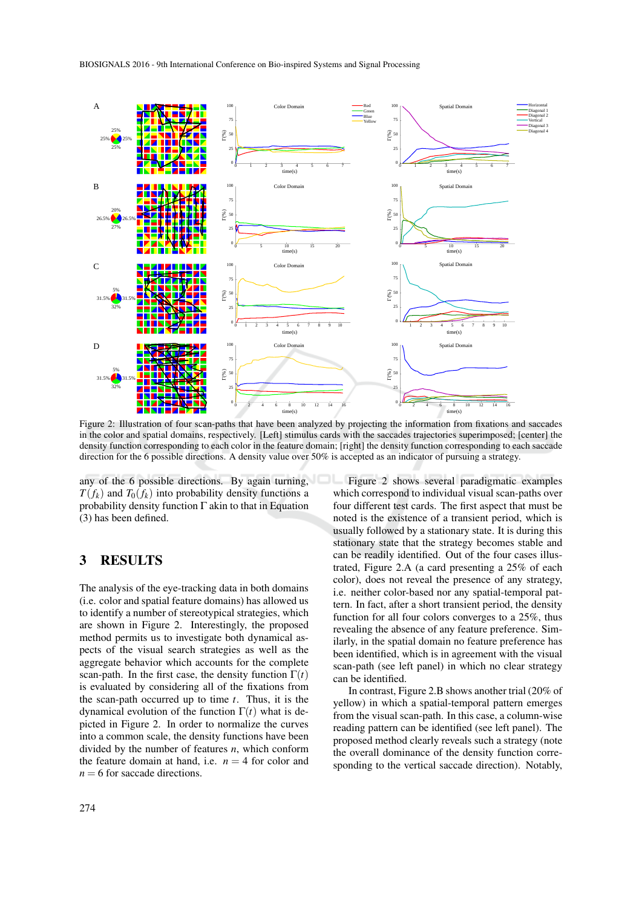

Figure 2: Illustration of four scan-paths that have been analyzed by projecting the information from fixations and saccades in the color and spatial domains, respectively. [Left] stimulus cards with the saccades trajectories superimposed; [center] the density function corresponding to each color in the feature domain; [right] the density function corresponding to each saccade direction for the 6 possible directions. A density value over 50% is accepted as an indicator of pursuing a strategy.

any of the 6 possible directions. By again turning,  $T(f_k)$  and  $T_0(f_k)$  into probability density functions a probability density function  $\Gamma$  akin to that in Equation (3) has been defined.

## 3 RESULTS

The analysis of the eye-tracking data in both domains (i.e. color and spatial feature domains) has allowed us to identify a number of stereotypical strategies, which are shown in Figure 2. Interestingly, the proposed method permits us to investigate both dynamical aspects of the visual search strategies as well as the aggregate behavior which accounts for the complete scan-path. In the first case, the density function  $\Gamma(t)$ is evaluated by considering all of the fixations from the scan-path occurred up to time *t*. Thus, it is the dynamical evolution of the function  $\Gamma(t)$  what is depicted in Figure 2. In order to normalize the curves into a common scale, the density functions have been divided by the number of features *n*, which conform the feature domain at hand, i.e.  $n = 4$  for color and  $n = 6$  for saccade directions.

Figure 2 shows several paradigmatic examples which correspond to individual visual scan-paths over four different test cards. The first aspect that must be noted is the existence of a transient period, which is usually followed by a stationary state. It is during this stationary state that the strategy becomes stable and can be readily identified. Out of the four cases illustrated, Figure 2.A (a card presenting a 25% of each color), does not reveal the presence of any strategy, i.e. neither color-based nor any spatial-temporal pattern. In fact, after a short transient period, the density function for all four colors converges to a 25%, thus revealing the absence of any feature preference. Similarly, in the spatial domain no feature preference has been identified, which is in agreement with the visual scan-path (see left panel) in which no clear strategy can be identified.

In contrast, Figure 2.B shows another trial (20% of yellow) in which a spatial-temporal pattern emerges from the visual scan-path. In this case, a column-wise reading pattern can be identified (see left panel). The proposed method clearly reveals such a strategy (note the overall dominance of the density function corresponding to the vertical saccade direction). Notably,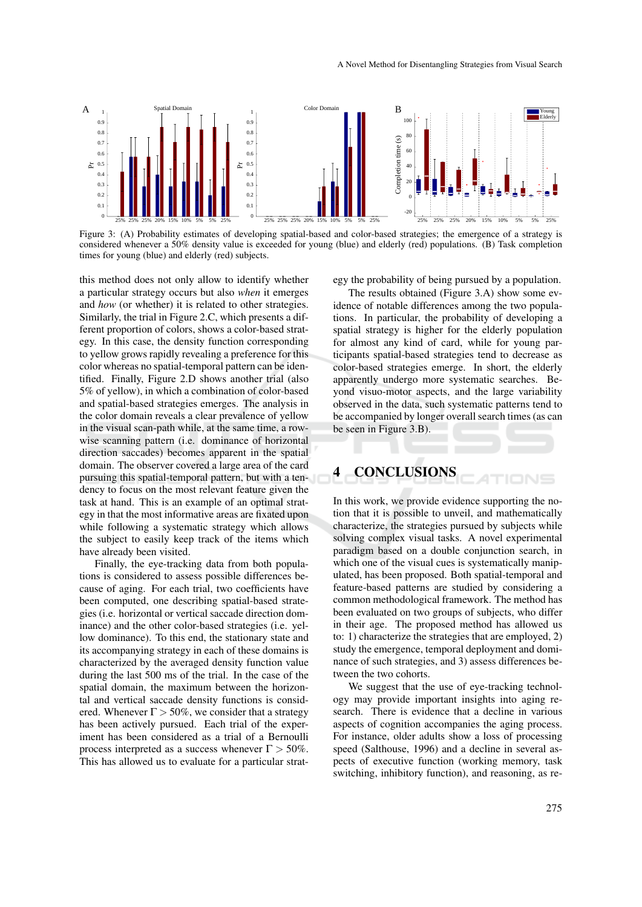

Figure 3: (A) Probability estimates of developing spatial-based and color-based strategies; the emergence of a strategy is considered whenever a 50% density value is exceeded for young (blue) and elderly (red) populations. (B) Task completion times for young (blue) and elderly (red) subjects.

this method does not only allow to identify whether a particular strategy occurs but also *when* it emerges and *how* (or whether) it is related to other strategies. Similarly, the trial in Figure 2.C, which presents a different proportion of colors, shows a color-based strategy. In this case, the density function corresponding to yellow grows rapidly revealing a preference for this color whereas no spatial-temporal pattern can be identified. Finally, Figure 2.D shows another trial (also 5% of yellow), in which a combination of color-based and spatial-based strategies emerges. The analysis in the color domain reveals a clear prevalence of yellow in the visual scan-path while, at the same time, a rowwise scanning pattern (i.e. dominance of horizontal direction saccades) becomes apparent in the spatial domain. The observer covered a large area of the card pursuing this spatial-temporal pattern, but with a tendency to focus on the most relevant feature given the task at hand. This is an example of an optimal strategy in that the most informative areas are fixated upon while following a systematic strategy which allows the subject to easily keep track of the items which have already been visited.

Finally, the eye-tracking data from both populations is considered to assess possible differences because of aging. For each trial, two coefficients have been computed, one describing spatial-based strategies (i.e. horizontal or vertical saccade direction dominance) and the other color-based strategies (i.e. yellow dominance). To this end, the stationary state and its accompanying strategy in each of these domains is characterized by the averaged density function value during the last 500 ms of the trial. In the case of the spatial domain, the maximum between the horizontal and vertical saccade density functions is considered. Whenever  $\Gamma > 50\%$ , we consider that a strategy has been actively pursued. Each trial of the experiment has been considered as a trial of a Bernoulli process interpreted as a success whenever  $\Gamma > 50\%$ . This has allowed us to evaluate for a particular strategy the probability of being pursued by a population.

The results obtained (Figure 3.A) show some evidence of notable differences among the two populations. In particular, the probability of developing a spatial strategy is higher for the elderly population for almost any kind of card, while for young participants spatial-based strategies tend to decrease as color-based strategies emerge. In short, the elderly apparently undergo more systematic searches. Beyond visuo-motor aspects, and the large variability observed in the data, such systematic patterns tend to be accompanied by longer overall search times (as can be seen in Figure 3.B).

# 4 CONCLUSIONS

In this work, we provide evidence supporting the notion that it is possible to unveil, and mathematically characterize, the strategies pursued by subjects while solving complex visual tasks. A novel experimental paradigm based on a double conjunction search, in which one of the visual cues is systematically manipulated, has been proposed. Both spatial-temporal and feature-based patterns are studied by considering a common methodological framework. The method has been evaluated on two groups of subjects, who differ in their age. The proposed method has allowed us to: 1) characterize the strategies that are employed, 2) study the emergence, temporal deployment and dominance of such strategies, and 3) assess differences between the two cohorts.

We suggest that the use of eye-tracking technology may provide important insights into aging research. There is evidence that a decline in various aspects of cognition accompanies the aging process. For instance, older adults show a loss of processing speed (Salthouse, 1996) and a decline in several aspects of executive function (working memory, task switching, inhibitory function), and reasoning, as re